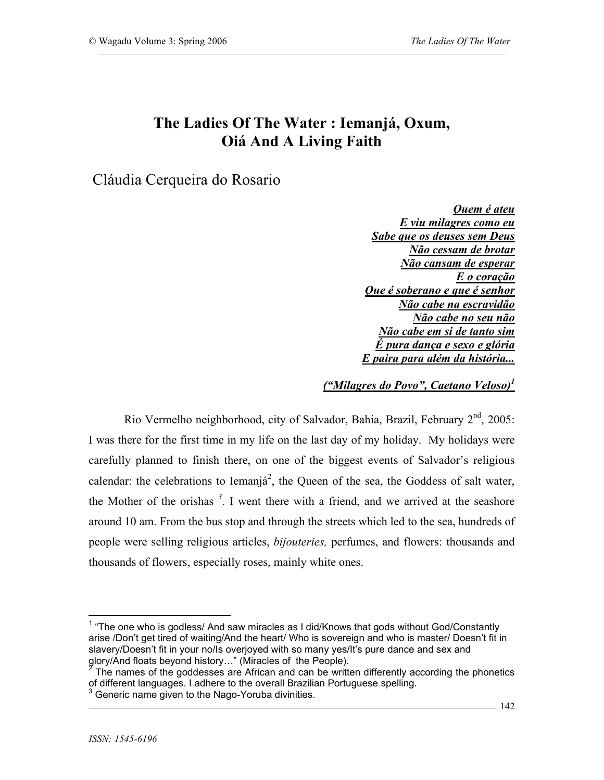## **The Ladies Of The Water : Iemanjá, Oxum, Oiá And A Living Faith**

Cláudia Cerqueira do Rosario

*Quem é ateu E viu milagres como eu Sabe que os deuses sem Deus Não cessam de brotar Não cansam de esperar E o coração Que é soberano e que é senhor Não cabe na escravidão Não cabe no seu não Não cabe em si de tanto sim É pura dança e sexo e glória E paira para além da história...*

*("Milagres do Povo", Caetano Veloso)1*

Rio Vermelho neighborhood, city of Salvador, Bahia, Brazil, February  $2<sup>nd</sup>$ , 2005: I was there for the first time in my life on the last day of my holiday. My holidays were carefully planned to finish there, on one of the biggest events of Salvador's religious calendar: the celebrations to Iemanjá<sup>2</sup>, the Queen of the sea, the Goddess of salt water, the Mother of the orishas *<sup>3</sup>* . I went there with a friend, and we arrived at the seashore around 10 am. From the bus stop and through the streets which led to the sea, hundreds of people were selling religious articles, *bijouteries,* perfumes, and flowers: thousands and thousands of flowers, especially roses, mainly white ones.

 $1$  "The one who is godless/ And saw miracles as I did/Knows that gods without God/Constantly arise /Don't get tired of waiting/And the heart/ Who is sovereign and who is master/ Doesn't fit in slavery/Doesn't fit in your no/Is overjoyed with so many yes/It's pure dance and sex and glory/And floats beyond history..." (Miracles of the People).

The names of the goddesses are African and can be written differently according the phonetics of different languages. I adhere to the overall Brazilian Portuguese spelling.<br><sup>3</sup> Generic name given to the Nago-Yoruba divinities.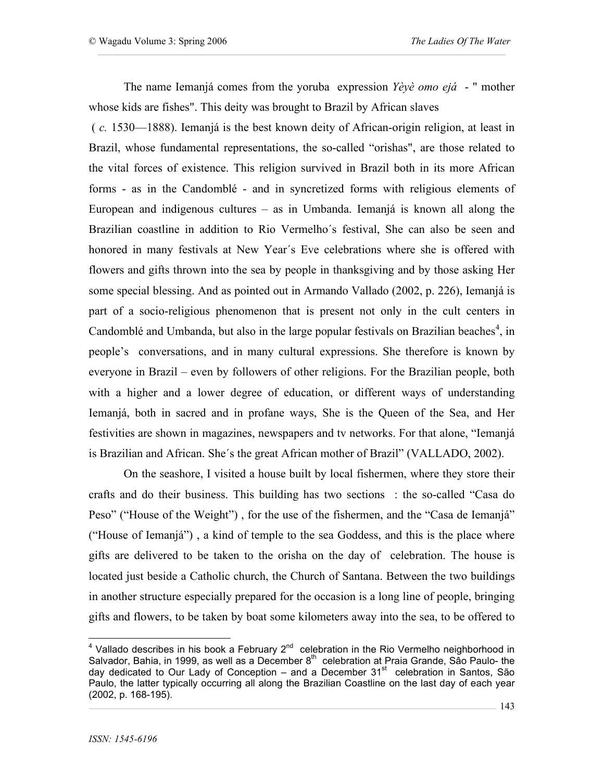The name Iemanjá comes from the yoruba expression *Yèyè omo ejá* - " mother whose kids are fishes". This deity was brought to Brazil by African slaves

 ( *c.* 1530—1888). Iemanjá is the best known deity of African-origin religion, at least in Brazil, whose fundamental representations, the so-called "orishas", are those related to the vital forces of existence. This religion survived in Brazil both in its more African forms - as in the Candomblé - and in syncretized forms with religious elements of European and indigenous cultures – as in Umbanda. Iemanjá is known all along the Brazilian coastline in addition to Rio Vermelho´s festival, She can also be seen and honored in many festivals at New Year´s Eve celebrations where she is offered with flowers and gifts thrown into the sea by people in thanksgiving and by those asking Her some special blessing. And as pointed out in Armando Vallado (2002, p. 226), Iemanjá is part of a socio-religious phenomenon that is present not only in the cult centers in Candomblé and Umbanda, but also in the large popular festivals on Brazilian beaches<sup>4</sup>, in people's conversations, and in many cultural expressions. She therefore is known by everyone in Brazil – even by followers of other religions. For the Brazilian people, both with a higher and a lower degree of education, or different ways of understanding Iemanjá, both in sacred and in profane ways, She is the Queen of the Sea, and Her festivities are shown in magazines, newspapers and tv networks. For that alone, "Iemanjá is Brazilian and African. She´s the great African mother of Brazil" (VALLADO, 2002).

On the seashore, I visited a house built by local fishermen, where they store their crafts and do their business. This building has two sections : the so-called "Casa do Peso" ("House of the Weight"), for the use of the fishermen, and the "Casa de Iemanjá" ("House of Iemanjá") , a kind of temple to the sea Goddess, and this is the place where gifts are delivered to be taken to the orisha on the day of celebration. The house is located just beside a Catholic church, the Church of Santana. Between the two buildings in another structure especially prepared for the occasion is a long line of people, bringing gifts and flowers, to be taken by boat some kilometers away into the sea, to be offered to

<sup>4&</sup>lt;br>A Vallado describes in his book a February 2<sup>nd</sup> celebration in the Rio Vermelho neighborhood in Salvador, Bahia, in 1999, as well as a December  $8^{th}$  celebration at Praia Grande, São Paulo- the day dedicated to Our Lady of Conception – and a December 31<sup>st</sup> celebration in Santos, São Paulo, the latter typically occurring all along the Brazilian Coastline on the last day of each year (2002, p. 168-195).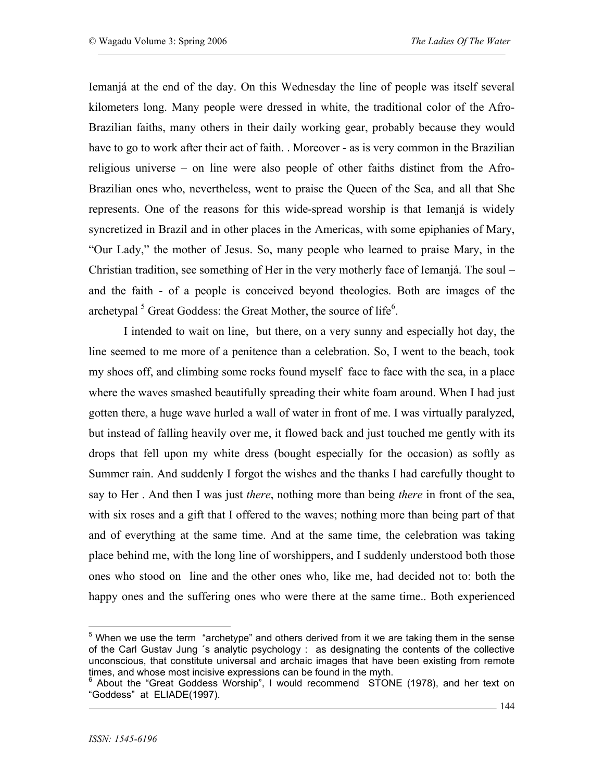Iemanjá at the end of the day. On this Wednesday the line of people was itself several kilometers long. Many people were dressed in white, the traditional color of the Afro-Brazilian faiths, many others in their daily working gear, probably because they would have to go to work after their act of faith. . Moreover - as is very common in the Brazilian religious universe – on line were also people of other faiths distinct from the Afro-Brazilian ones who, nevertheless, went to praise the Queen of the Sea, and all that She represents. One of the reasons for this wide-spread worship is that Iemanjá is widely syncretized in Brazil and in other places in the Americas, with some epiphanies of Mary, "Our Lady," the mother of Jesus. So, many people who learned to praise Mary, in the Christian tradition, see something of Her in the very motherly face of Iemanjá. The soul – and the faith - of a people is conceived beyond theologies. Both are images of the archetypal  $<sup>5</sup>$  Great Goddess: the Great Mother, the source of life $<sup>6</sup>$ .</sup></sup>

I intended to wait on line, but there, on a very sunny and especially hot day, the line seemed to me more of a penitence than a celebration. So, I went to the beach, took my shoes off, and climbing some rocks found myself face to face with the sea, in a place where the waves smashed beautifully spreading their white foam around. When I had just gotten there, a huge wave hurled a wall of water in front of me. I was virtually paralyzed, but instead of falling heavily over me, it flowed back and just touched me gently with its drops that fell upon my white dress (bought especially for the occasion) as softly as Summer rain. And suddenly I forgot the wishes and the thanks I had carefully thought to say to Her . And then I was just *there*, nothing more than being *there* in front of the sea, with six roses and a gift that I offered to the waves; nothing more than being part of that and of everything at the same time. And at the same time, the celebration was taking place behind me, with the long line of worshippers, and I suddenly understood both those ones who stood on line and the other ones who, like me, had decided not to: both the happy ones and the suffering ones who were there at the same time.. Both experienced

 $5$  When we use the term "archetype" and others derived from it we are taking them in the sense of the Carl Gustav Jung ´s analytic psychology : as designating the contents of the collective unconscious, that constitute universal and archaic images that have been existing from remote times, and whose most incisive expressions can be found in the myth.<br><sup>6</sup> About the "Great Goddess Worship", I would recommend STONE (1978), and her text on

<sup>&</sup>quot;Goddess" at ELIADE(1997).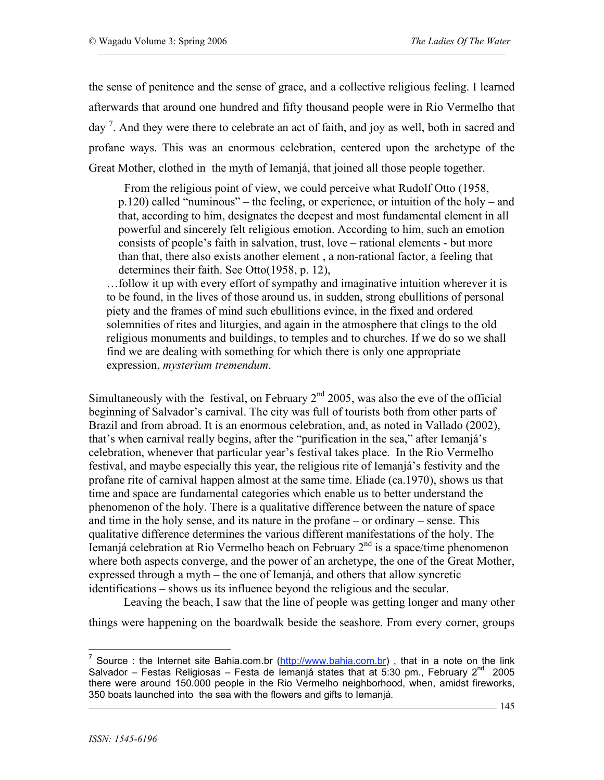the sense of penitence and the sense of grace, and a collective religious feeling. I learned afterwards that around one hundred and fifty thousand people were in Rio Vermelho that day  $\frac{7}{1}$ . And they were there to celebrate an act of faith, and joy as well, both in sacred and profane ways. This was an enormous celebration, centered upon the archetype of the Great Mother, clothed in the myth of Iemanjá, that joined all those people together.

 From the religious point of view, we could perceive what Rudolf Otto (1958, p.120) called "numinous" – the feeling, or experience, or intuition of the holy – and that, according to him, designates the deepest and most fundamental element in all powerful and sincerely felt religious emotion. According to him, such an emotion consists of people's faith in salvation, trust, love – rational elements - but more than that, there also exists another element , a non-rational factor, a feeling that determines their faith. See Otto(1958, p. 12),

…follow it up with every effort of sympathy and imaginative intuition wherever it is to be found, in the lives of those around us, in sudden, strong ebullitions of personal piety and the frames of mind such ebullitions evince, in the fixed and ordered solemnities of rites and liturgies, and again in the atmosphere that clings to the old religious monuments and buildings, to temples and to churches. If we do so we shall find we are dealing with something for which there is only one appropriate expression, *mysterium tremendum*.

Simultaneously with the festival, on February  $2<sup>nd</sup>$  2005, was also the eve of the official beginning of Salvador's carnival. The city was full of tourists both from other parts of Brazil and from abroad. It is an enormous celebration, and, as noted in Vallado (2002), that's when carnival really begins, after the "purification in the sea," after Iemanjá's celebration, whenever that particular year's festival takes place. In the Rio Vermelho festival, and maybe especially this year, the religious rite of Iemanjá's festivity and the profane rite of carnival happen almost at the same time. Eliade (ca.1970), shows us that time and space are fundamental categories which enable us to better understand the phenomenon of the holy. There is a qualitative difference between the nature of space and time in the holy sense, and its nature in the profane – or ordinary – sense. This qualitative difference determines the various different manifestations of the holy. The Iemanjá celebration at Rio Vermelho beach on February 2<sup>nd</sup> is a space/time phenomenon where both aspects converge, and the power of an archetype, the one of the Great Mother, expressed through a myth – the one of Iemanjá, and others that allow syncretic identifications – shows us its influence beyond the religious and the secular.

Leaving the beach, I saw that the line of people was getting longer and many other

things were happening on the boardwalk beside the seashore. From every corner, groups

<sup>&</sup>lt;sup>7</sup> Source : the Internet site Bahia.com.br ( $\frac{http://www.bahia.com.br)}{http://www.bahia.com.br)}$ , that in a note on the link Salvador – Festas Religiosas – Festa de Iemanjá states that at 5:30 pm., February  $2^{nd}$  2005 there were around 150.000 people in the Rio Vermelho neighborhood, when, amidst fireworks, 350 boats launched into the sea with the flowers and gifts to Iemanjá.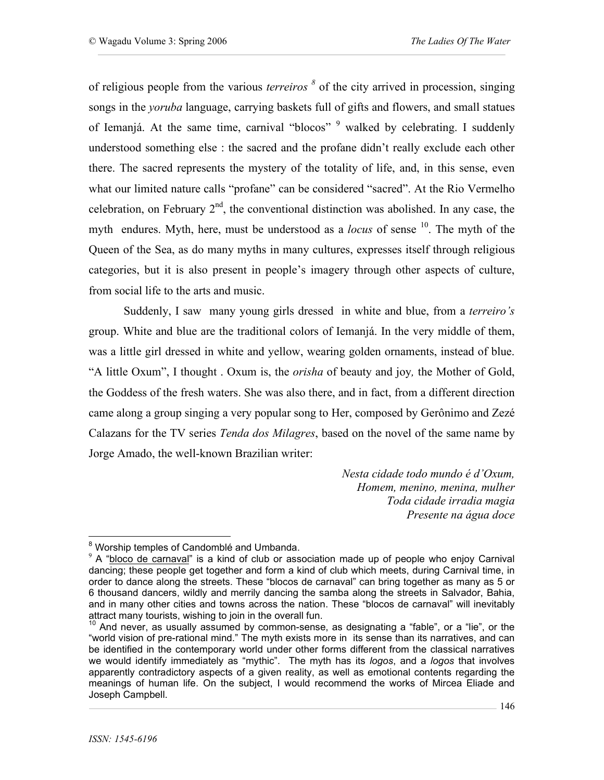of religious people from the various *terreiros <sup>8</sup>* of the city arrived in procession, singing songs in the *yoruba* language, carrying baskets full of gifts and flowers, and small statues of Iemanjá. At the same time, carnival "blocos" <sup>9</sup> walked by celebrating. I suddenly understood something else : the sacred and the profane didn't really exclude each other there. The sacred represents the mystery of the totality of life, and, in this sense, even what our limited nature calls "profane" can be considered "sacred". At the Rio Vermelho celebration, on February  $2<sup>nd</sup>$ , the conventional distinction was abolished. In any case, the myth endures. Myth, here, must be understood as a *locus* of sense <sup>10</sup>. The myth of the Queen of the Sea, as do many myths in many cultures, expresses itself through religious categories, but it is also present in people's imagery through other aspects of culture, from social life to the arts and music.

Suddenly, I saw many young girls dressed in white and blue, from a *terreiro's* group. White and blue are the traditional colors of Iemanjá. In the very middle of them, was a little girl dressed in white and yellow, wearing golden ornaments, instead of blue. "A little Oxum", I thought . Oxum is, the *orisha* of beauty and joy*,* the Mother of Gold, the Goddess of the fresh waters. She was also there, and in fact, from a different direction came along a group singing a very popular song to Her, composed by Gerônimo and Zezé Calazans for the TV series *Tenda dos Milagres*, based on the novel of the same name by Jorge Amado, the well-known Brazilian writer:

> *Nesta cidade todo mundo é d'Oxum, Homem, menino, menina, mulher Toda cidade irradia magia Presente na água doce*

 $8$  Worship temples of Candomblé and Umbanda.<br> $9$  A "bloco de carnaval" is a kind of club or association made up of people who enjoy Carnival dancing; these people get together and form a kind of club which meets, during Carnival time, in order to dance along the streets. These "blocos de carnaval" can bring together as many as 5 or 6 thousand dancers, wildly and merrily dancing the samba along the streets in Salvador, Bahia, and in many other cities and towns across the nation. These "blocos de carnaval" will inevitably attract many tourists, wishing to join in the overall fun.

 $10$  And never, as usually assumed by common-sense, as designating a "fable", or a "lie", or the "world vision of pre-rational mind." The myth exists more in its sense than its narratives, and can be identified in the contemporary world under other forms different from the classical narratives we would identify immediately as "mythic". The myth has its *logos*, and a *logos* that involves apparently contradictory aspects of a given reality, as well as emotional contents regarding the meanings of human life. On the subject, I would recommend the works of Mircea Eliade and Joseph Campbell.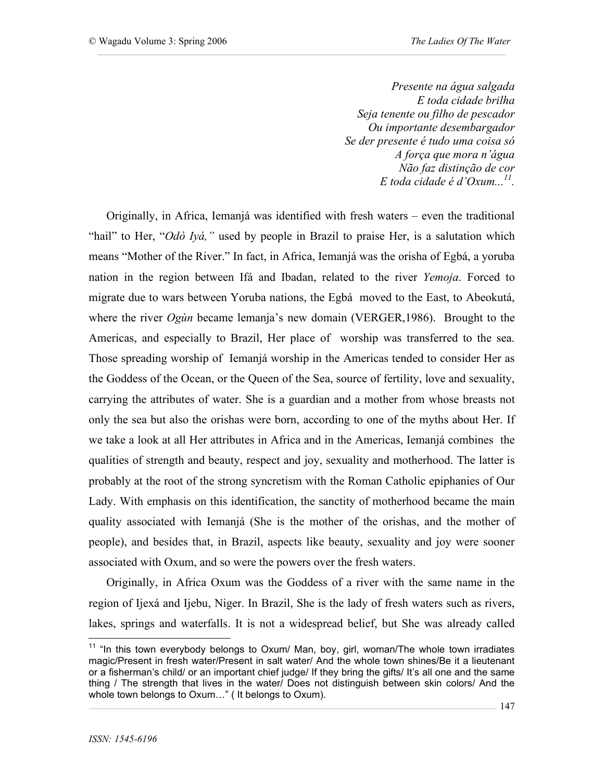*Presente na água salgada E toda cidade brilha Seja tenente ou filho de pescador Ou importante desembargador Se der presente é tudo uma coisa só A força que mora n'água Não faz distinção de cor E toda cidade é d'Oxum... 11.*

Originally, in Africa, Iemanjá was identified with fresh waters – even the traditional "hail" to Her, "*Odò Iyá,"* used by people in Brazil to praise Her, is a salutation which means "Mother of the River." In fact, in Africa, Iemanjá was the orisha of Egbá, a yoruba nation in the region between Ifá and Ibadan, related to the river *Yemoja*. Forced to migrate due to wars between Yoruba nations, the Egbá moved to the East, to Abeokutá, where the river *Ogùn* became lemanja's new domain (VERGER,1986). Brought to the Americas, and especially to Brazil, Her place of worship was transferred to the sea. Those spreading worship of Iemanjá worship in the Americas tended to consider Her as the Goddess of the Ocean, or the Queen of the Sea, source of fertility, love and sexuality, carrying the attributes of water. She is a guardian and a mother from whose breasts not only the sea but also the orishas were born, according to one of the myths about Her. If we take a look at all Her attributes in Africa and in the Americas, Iemanjá combines the qualities of strength and beauty, respect and joy, sexuality and motherhood. The latter is probably at the root of the strong syncretism with the Roman Catholic epiphanies of Our Lady. With emphasis on this identification, the sanctity of motherhood became the main quality associated with Iemanjá (She is the mother of the orishas, and the mother of people), and besides that, in Brazil, aspects like beauty, sexuality and joy were sooner associated with Oxum, and so were the powers over the fresh waters.

Originally, in Africa Oxum was the Goddess of a river with the same name in the region of Ijexá and Ijebu, Niger. In Brazil, She is the lady of fresh waters such as rivers, lakes, springs and waterfalls. It is not a widespread belief, but She was already called

 $11$  "In this town everybody belongs to Oxum/ Man, boy, girl, woman/The whole town irradiates magic/Present in fresh water/Present in salt water/ And the whole town shines/Be it a lieutenant or a fisherman's child/ or an important chief judge/ If they bring the gifts/ It's all one and the same thing / The strength that lives in the water/ Does not distinguish between skin colors/ And the whole town belongs to Oxum…" ( It belongs to Oxum).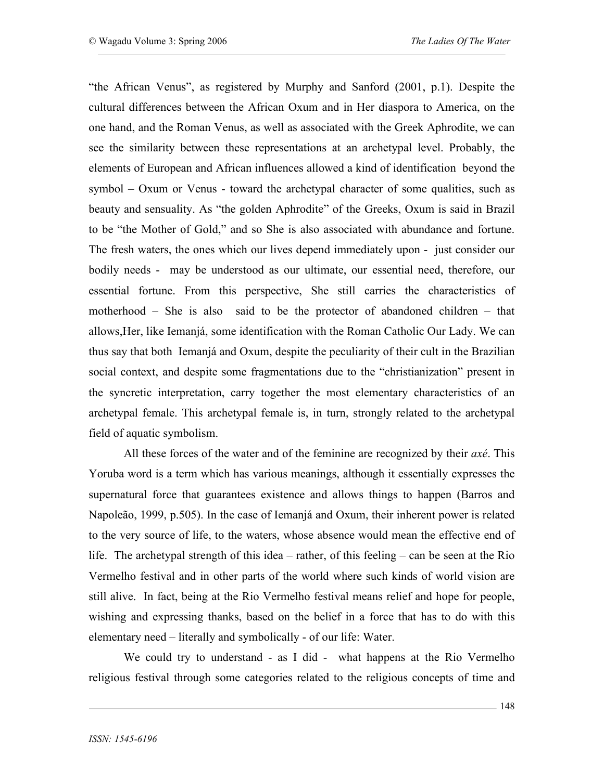"the African Venus", as registered by Murphy and Sanford (2001, p.1). Despite the cultural differences between the African Oxum and in Her diaspora to America, on the one hand, and the Roman Venus, as well as associated with the Greek Aphrodite, we can see the similarity between these representations at an archetypal level. Probably, the elements of European and African influences allowed a kind of identification beyond the symbol – Oxum or Venus - toward the archetypal character of some qualities, such as beauty and sensuality. As "the golden Aphrodite" of the Greeks, Oxum is said in Brazil to be "the Mother of Gold," and so She is also associated with abundance and fortune. The fresh waters, the ones which our lives depend immediately upon - just consider our bodily needs - may be understood as our ultimate, our essential need, therefore, our essential fortune. From this perspective, She still carries the characteristics of motherhood – She is also said to be the protector of abandoned children – that allows,Her, like Iemanjá, some identification with the Roman Catholic Our Lady. We can thus say that both Iemanjá and Oxum, despite the peculiarity of their cult in the Brazilian social context, and despite some fragmentations due to the "christianization" present in the syncretic interpretation, carry together the most elementary characteristics of an archetypal female. This archetypal female is, in turn, strongly related to the archetypal field of aquatic symbolism.

All these forces of the water and of the feminine are recognized by their *axé*. This Yoruba word is a term which has various meanings, although it essentially expresses the supernatural force that guarantees existence and allows things to happen (Barros and Napoleão, 1999, p.505). In the case of Iemanjá and Oxum, their inherent power is related to the very source of life, to the waters, whose absence would mean the effective end of life. The archetypal strength of this idea – rather, of this feeling – can be seen at the Rio Vermelho festival and in other parts of the world where such kinds of world vision are still alive. In fact, being at the Rio Vermelho festival means relief and hope for people, wishing and expressing thanks, based on the belief in a force that has to do with this elementary need – literally and symbolically - of our life: Water.

We could try to understand - as I did - what happens at the Rio Vermelho religious festival through some categories related to the religious concepts of time and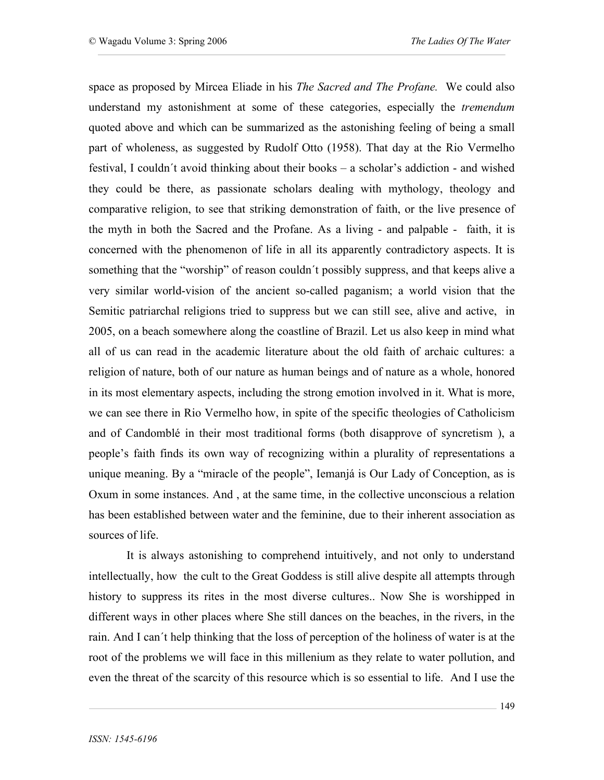space as proposed by Mircea Eliade in his *The Sacred and The Profane.* We could also understand my astonishment at some of these categories, especially the *tremendum* quoted above and which can be summarized as the astonishing feeling of being a small part of wholeness, as suggested by Rudolf Otto (1958). That day at the Rio Vermelho festival, I couldn´t avoid thinking about their books – a scholar's addiction - and wished they could be there, as passionate scholars dealing with mythology, theology and comparative religion, to see that striking demonstration of faith, or the live presence of the myth in both the Sacred and the Profane. As a living - and palpable - faith, it is concerned with the phenomenon of life in all its apparently contradictory aspects. It is something that the "worship" of reason couldn´t possibly suppress, and that keeps alive a very similar world-vision of the ancient so-called paganism; a world vision that the Semitic patriarchal religions tried to suppress but we can still see, alive and active, in 2005, on a beach somewhere along the coastline of Brazil. Let us also keep in mind what all of us can read in the academic literature about the old faith of archaic cultures: a religion of nature, both of our nature as human beings and of nature as a whole, honored in its most elementary aspects, including the strong emotion involved in it. What is more, we can see there in Rio Vermelho how, in spite of the specific theologies of Catholicism and of Candomblé in their most traditional forms (both disapprove of syncretism ), a people's faith finds its own way of recognizing within a plurality of representations a unique meaning. By a "miracle of the people", Iemanjá is Our Lady of Conception, as is Oxum in some instances. And , at the same time, in the collective unconscious a relation has been established between water and the feminine, due to their inherent association as sources of life.

 It is always astonishing to comprehend intuitively, and not only to understand intellectually, how the cult to the Great Goddess is still alive despite all attempts through history to suppress its rites in the most diverse cultures.. Now She is worshipped in different ways in other places where She still dances on the beaches, in the rivers, in the rain. And I can´t help thinking that the loss of perception of the holiness of water is at the root of the problems we will face in this millenium as they relate to water pollution, and even the threat of the scarcity of this resource which is so essential to life. And I use the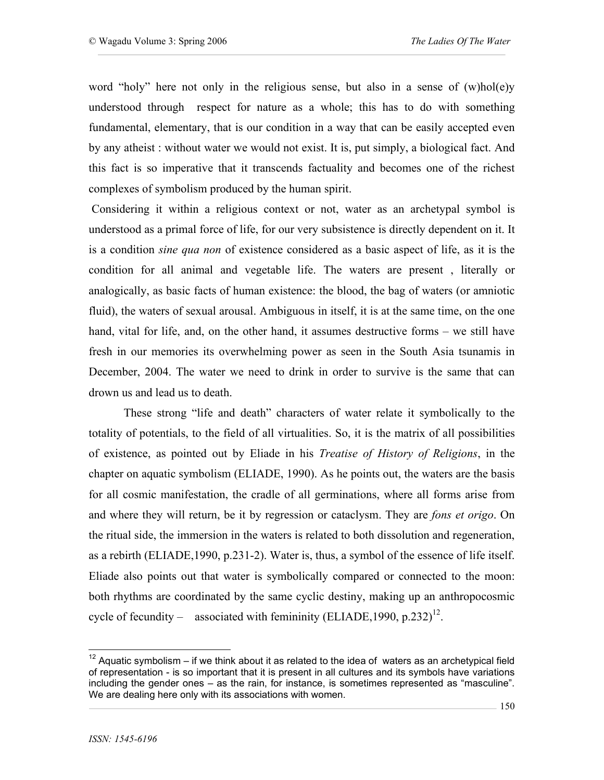word "holy" here not only in the religious sense, but also in a sense of (w)hol(e)y understood through respect for nature as a whole; this has to do with something fundamental, elementary, that is our condition in a way that can be easily accepted even by any atheist : without water we would not exist. It is, put simply, a biological fact. And this fact is so imperative that it transcends factuality and becomes one of the richest complexes of symbolism produced by the human spirit.

Considering it within a religious context or not, water as an archetypal symbol is understood as a primal force of life, for our very subsistence is directly dependent on it. It is a condition *sine qua non* of existence considered as a basic aspect of life, as it is the condition for all animal and vegetable life. The waters are present , literally or analogically, as basic facts of human existence: the blood, the bag of waters (or amniotic fluid), the waters of sexual arousal. Ambiguous in itself, it is at the same time, on the one hand, vital for life, and, on the other hand, it assumes destructive forms – we still have fresh in our memories its overwhelming power as seen in the South Asia tsunamis in December, 2004. The water we need to drink in order to survive is the same that can drown us and lead us to death.

These strong "life and death" characters of water relate it symbolically to the totality of potentials, to the field of all virtualities. So, it is the matrix of all possibilities of existence, as pointed out by Eliade in his *Treatise of History of Religions*, in the chapter on aquatic symbolism (ELIADE, 1990). As he points out, the waters are the basis for all cosmic manifestation, the cradle of all germinations, where all forms arise from and where they will return, be it by regression or cataclysm. They are *fons et origo*. On the ritual side, the immersion in the waters is related to both dissolution and regeneration, as a rebirth (ELIADE,1990, p.231-2). Water is, thus, a symbol of the essence of life itself. Eliade also points out that water is symbolically compared or connected to the moon: both rhythms are coordinated by the same cyclic destiny, making up an anthropocosmic cycle of fecundity – associated with femininity (ELIADE, 1990, p.232)<sup>12</sup>.

 $12$  Aquatic symbolism – if we think about it as related to the idea of waters as an archetypical field of representation - is so important that it is present in all cultures and its symbols have variations including the gender ones – as the rain, for instance, is sometimes represented as "masculine". We are dealing here only with its associations with women.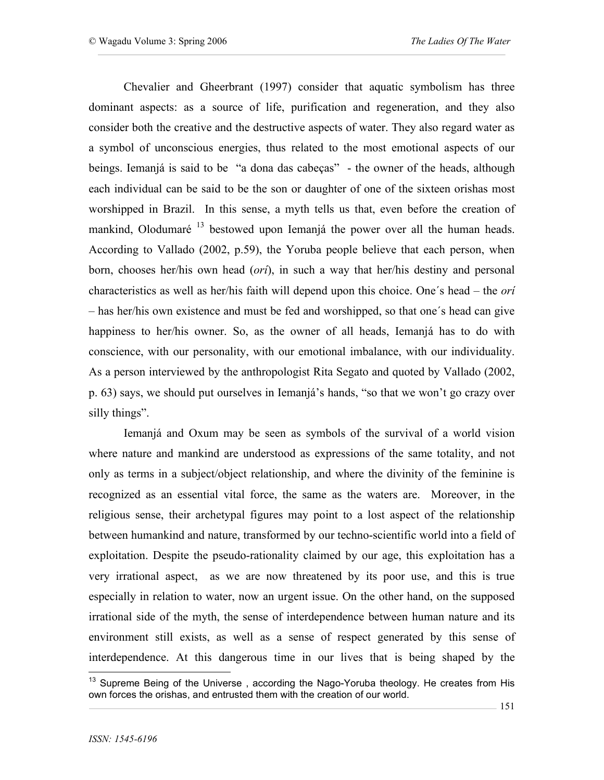Chevalier and Gheerbrant (1997) consider that aquatic symbolism has three dominant aspects: as a source of life, purification and regeneration, and they also consider both the creative and the destructive aspects of water. They also regard water as a symbol of unconscious energies, thus related to the most emotional aspects of our beings. Iemanjá is said to be "a dona das cabeças" - the owner of the heads, although each individual can be said to be the son or daughter of one of the sixteen orishas most worshipped in Brazil. In this sense, a myth tells us that, even before the creation of mankind, Olodumaré  $13$  bestowed upon Iemanjá the power over all the human heads. According to Vallado (2002, p.59), the Yoruba people believe that each person, when born, chooses her/his own head (*orí*), in such a way that her/his destiny and personal characteristics as well as her/his faith will depend upon this choice. One´s head – the *orí* – has her/his own existence and must be fed and worshipped, so that one´s head can give happiness to her/his owner. So, as the owner of all heads, Iemanjá has to do with conscience, with our personality, with our emotional imbalance, with our individuality. As a person interviewed by the anthropologist Rita Segato and quoted by Vallado (2002, p. 63) says, we should put ourselves in Iemanjá's hands, "so that we won't go crazy over silly things".

Iemanjá and Oxum may be seen as symbols of the survival of a world vision where nature and mankind are understood as expressions of the same totality, and not only as terms in a subject/object relationship, and where the divinity of the feminine is recognized as an essential vital force, the same as the waters are. Moreover, in the religious sense, their archetypal figures may point to a lost aspect of the relationship between humankind and nature, transformed by our techno-scientific world into a field of exploitation. Despite the pseudo-rationality claimed by our age, this exploitation has a very irrational aspect, as we are now threatened by its poor use, and this is true especially in relation to water, now an urgent issue. On the other hand, on the supposed irrational side of the myth, the sense of interdependence between human nature and its environment still exists, as well as a sense of respect generated by this sense of interdependence. At this dangerous time in our lives that is being shaped by the

<sup>&</sup>lt;sup>13</sup> Supreme Being of the Universe, according the Nago-Yoruba theology. He creates from His own forces the orishas, and entrusted them with the creation of our world.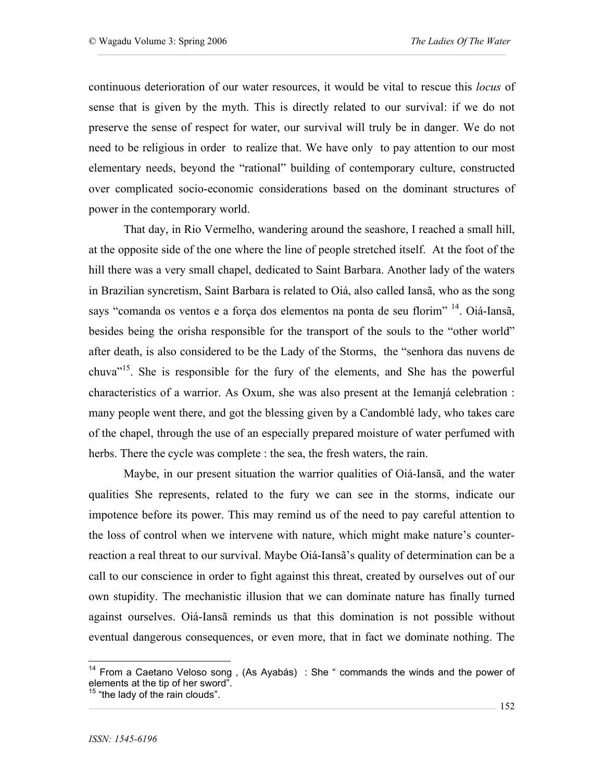continuous deterioration of our water resources, it would be vital to rescue this *locus* of sense that is given by the myth. This is directly related to our survival: if we do not preserve the sense of respect for water, our survival will truly be in danger. We do not need to be religious in order to realize that. We have only to pay attention to our most elementary needs, beyond the "rational" building of contemporary culture, constructed over complicated socio-economic considerations based on the dominant structures of power in the contemporary world.

That day, in Rio Vermelho, wandering around the seashore, I reached a small hill, at the opposite side of the one where the line of people stretched itself. At the foot of the hill there was a very small chapel, dedicated to Saint Barbara. Another lady of the waters in Brazilian syncretism, Saint Barbara is related to Oiá, also called Iansã, who as the song says "comanda os ventos e a força dos elementos na ponta de seu florim" <sup>14</sup>. Oiá-Iansã, besides being the orisha responsible for the transport of the souls to the "other world" after death, is also considered to be the Lady of the Storms, the "senhora das nuvens de chuva" 15. She is responsible for the fury of the elements, and She has the powerful characteristics of a warrior. As Oxum, she was also present at the Iemanjá celebration : many people went there, and got the blessing given by a Candomblé lady, who takes care of the chapel, through the use of an especially prepared moisture of water perfumed with herbs. There the cycle was complete : the sea, the fresh waters, the rain.

Maybe, in our present situation the warrior qualities of Oiá-Iansã, and the water qualities She represents, related to the fury we can see in the storms, indicate our impotence before its power. This may remind us of the need to pay careful attention to the loss of control when we intervene with nature, which might make nature's counterreaction a real threat to our survival. Maybe Oiá-Iansã's quality of determination can be a call to our conscience in order to fight against this threat, created by ourselves out of our own stupidity. The mechanistic illusion that we can dominate nature has finally turned against ourselves. Oiá-Iansã reminds us that this domination is not possible without eventual dangerous consequences, or even more, that in fact we dominate nothing. The

 $14$  From a Caetano Veloso song, (As Ayabás) : She " commands the winds and the power of elements at the tip of her sword". <sup>15</sup> "the lady of the rain clouds".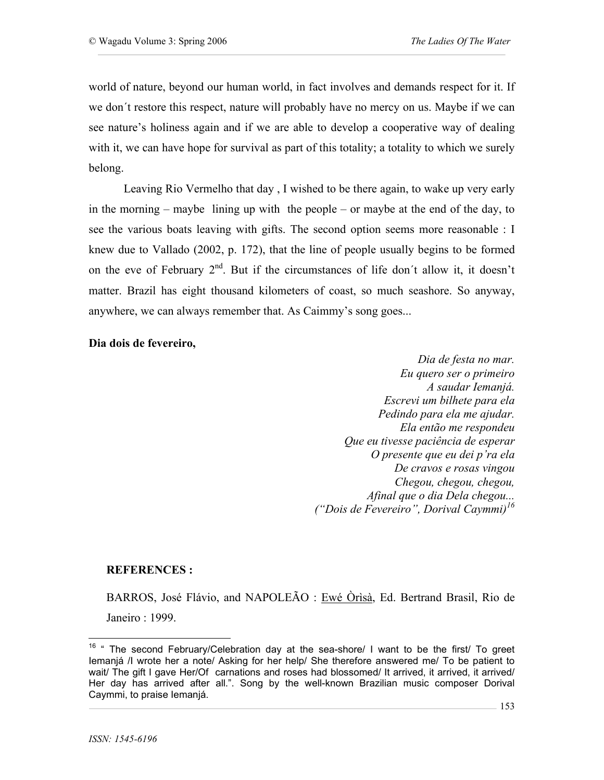world of nature, beyond our human world, in fact involves and demands respect for it. If we don´t restore this respect, nature will probably have no mercy on us. Maybe if we can see nature's holiness again and if we are able to develop a cooperative way of dealing with it, we can have hope for survival as part of this totality; a totality to which we surely belong.

Leaving Rio Vermelho that day , I wished to be there again, to wake up very early in the morning – maybe lining up with the people – or maybe at the end of the day, to see the various boats leaving with gifts. The second option seems more reasonable : I knew due to Vallado (2002, p. 172), that the line of people usually begins to be formed on the eve of February  $2^{nd}$ . But if the circumstances of life don't allow it, it doesn't matter. Brazil has eight thousand kilometers of coast, so much seashore. So anyway, anywhere, we can always remember that. As Caimmy's song goes...

## **Dia dois de fevereiro,**

*Dia de festa no mar. Eu quero ser o primeiro A saudar Iemanjá. Escrevi um bilhete para ela Pedindo para ela me ajudar. Ela então me respondeu Que eu tivesse paciência de esperar O presente que eu dei p'ra ela De cravos e rosas vingou Chegou, chegou, chegou, Afinal que o dia Dela chegou... ("Dois de Fevereiro", Dorival Caymmi) 16*

## **REFERENCES :**

BARROS, José Flávio, and NAPOLEÃO : Ewé Òrìsà, Ed. Bertrand Brasil, Rio de Janeiro : 1999.

<sup>&</sup>lt;sup>16</sup> " The second February/Celebration day at the sea-shore/ I want to be the first/ To greet Iemanjá /I wrote her a note/ Asking for her help/ She therefore answered me/ To be patient to wait/ The gift I gave Her/Of carnations and roses had blossomed/ It arrived, it arrived, it arrived/ Her day has arrived after all.". Song by the well-known Brazilian music composer Dorival Caymmi, to praise Iemanjá.